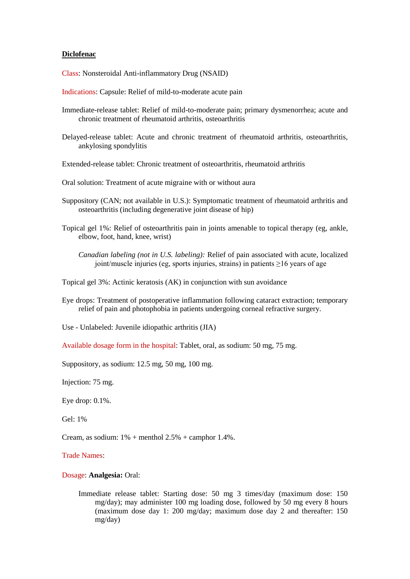### **Diclofenac**

Class: Nonsteroidal Anti-inflammatory Drug (NSAID)

- Indications: Capsule: Relief of mild-to-moderate acute pain
- Immediate-release tablet: Relief of mild-to-moderate pain; primary dysmenorrhea; acute and chronic treatment of rheumatoid arthritis, osteoarthritis
- Delayed-release tablet: Acute and chronic treatment of rheumatoid arthritis, osteoarthritis, ankylosing spondylitis
- Extended-release tablet: Chronic treatment of osteoarthritis, rheumatoid arthritis
- Oral solution: Treatment of acute migraine with or without aura
- Suppository (CAN; not available in U.S.): Symptomatic treatment of rheumatoid arthritis and osteoarthritis (including degenerative joint disease of hip)
- Topical gel 1%: Relief of osteoarthritis pain in joints amenable to topical therapy (eg, ankle, elbow, foot, hand, knee, wrist)
	- *Canadian labeling (not in U.S. labeling):* Relief of pain associated with acute, localized joint/muscle injuries (eg, sports injuries, strains) in patients  $\geq 16$  years of age

Topical gel 3%: Actinic keratosis (AK) in conjunction with sun avoidance

- Eye drops: Treatment of postoperative inflammation following cataract extraction; temporary relief of pain and photophobia in patients undergoing corneal refractive surgery.
- Use Unlabeled: Juvenile idiopathic arthritis (JIA)
- Available dosage form in the hospital: Tablet, oral, as sodium: 50 mg, 75 mg.

Suppository, as sodium: 12.5 mg, 50 mg, 100 mg.

Injection: 75 mg.

Eye drop: 0.1%.

Gel: 1%

Cream, as sodium:  $1\%$  + menthol  $2.5\%$  + camphor 1.4%.

Trade Names:

### Dosage: **Analgesia:** Oral:

Immediate release tablet: Starting dose: 50 mg 3 times/day (maximum dose: 150 mg/day); may administer 100 mg loading dose, followed by 50 mg every 8 hours (maximum dose day 1: 200 mg/day; maximum dose day 2 and thereafter: 150 mg/day)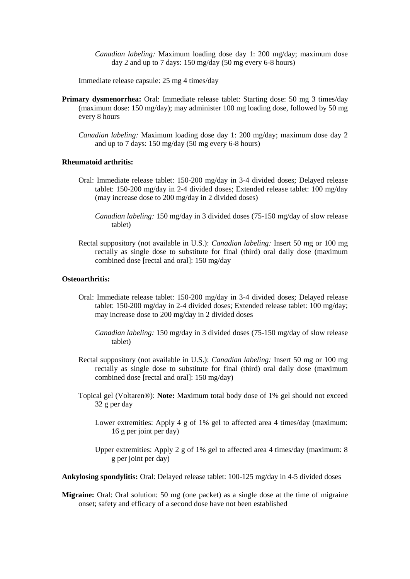*Canadian labeling:* Maximum loading dose day 1: 200 mg/day; maximum dose day 2 and up to 7 days: 150 mg/day (50 mg every 6-8 hours)

Immediate release capsule: 25 mg 4 times/day

- **Primary dysmenorrhea:** Oral: Immediate release tablet: Starting dose: 50 mg 3 times/day (maximum dose: 150 mg/day); may administer 100 mg loading dose, followed by 50 mg every 8 hours
	- *Canadian labeling:* Maximum loading dose day 1: 200 mg/day; maximum dose day 2 and up to 7 days: 150 mg/day (50 mg every 6-8 hours)

### **Rheumatoid arthritis:**

- Oral: Immediate release tablet: 150-200 mg/day in 3-4 divided doses; Delayed release tablet: 150-200 mg/day in 2-4 divided doses; Extended release tablet: 100 mg/day (may increase dose to 200 mg/day in 2 divided doses)
	- *Canadian labeling:* 150 mg/day in 3 divided doses (75-150 mg/day of slow release tablet)
- Rectal suppository (not available in U.S.): *Canadian labeling:* Insert 50 mg or 100 mg rectally as single dose to substitute for final (third) oral daily dose (maximum combined dose [rectal and oral]: 150 mg/day

# **Osteoarthritis:**

- Oral: Immediate release tablet: 150-200 mg/day in 3-4 divided doses; Delayed release tablet: 150-200 mg/day in 2-4 divided doses; Extended release tablet: 100 mg/day; may increase dose to 200 mg/day in 2 divided doses
	- *Canadian labeling:* 150 mg/day in 3 divided doses (75-150 mg/day of slow release tablet)
- Rectal suppository (not available in U.S.): *Canadian labeling:* Insert 50 mg or 100 mg rectally as single dose to substitute for final (third) oral daily dose (maximum combined dose [rectal and oral]: 150 mg/day)
- Topical gel (Voltaren®): **Note:** Maximum total body dose of 1% gel should not exceed 32 g per day
	- Lower extremities: Apply 4 g of 1% gel to affected area 4 times/day (maximum: 16 g per joint per day)
	- Upper extremities: Apply 2 g of 1% gel to affected area 4 times/day (maximum: 8 g per joint per day)

**Ankylosing spondylitis:** Oral: Delayed release tablet: 100-125 mg/day in 4-5 divided doses

**Migraine:** Oral: Oral solution: 50 mg (one packet) as a single dose at the time of migraine onset; safety and efficacy of a second dose have not been established